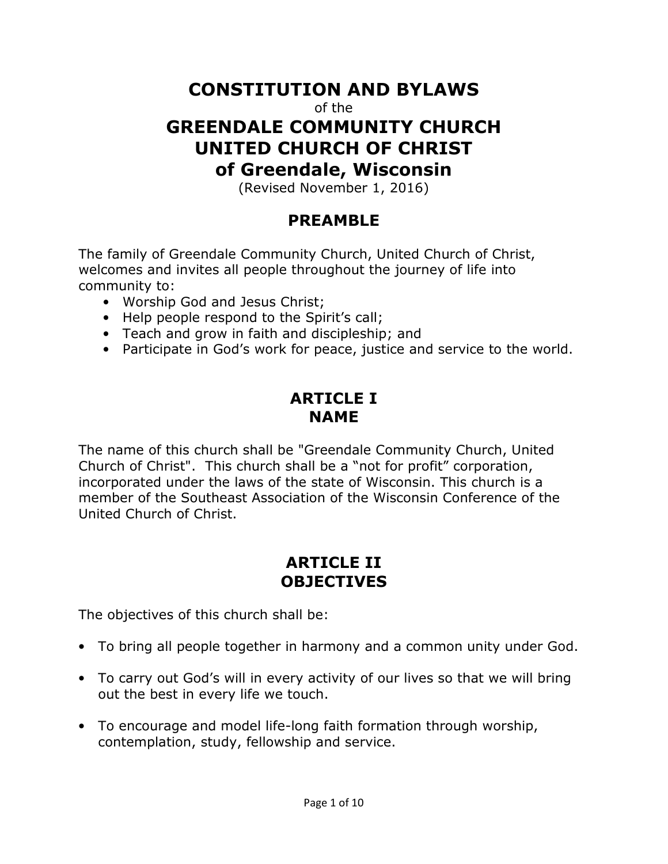# **CONSTITUTION AND BYLAWS**

of the

# **GREENDALE COMMUNITY CHURCH UNITED CHURCH OF CHRIST of Greendale, Wisconsin**

(Revised November 1, 2016)

### **PREAMBLE**

The family of Greendale Community Church, United Church of Christ, welcomes and invites all people throughout the journey of life into community to:

- Worship God and Jesus Christ;
- Help people respond to the Spirit's call;
- Teach and grow in faith and discipleship; and
- Participate in God's work for peace, justice and service to the world.

### **ARTICLE I NAME**

The name of this church shall be "Greendale Community Church, United Church of Christ". This church shall be a "not for profit" corporation, incorporated under the laws of the state of Wisconsin. This church is a member of the Southeast Association of the Wisconsin Conference of the United Church of Christ.

### **ARTICLE II OBJECTIVES**

The objectives of this church shall be:

- To bring all people together in harmony and a common unity under God.
- To carry out God's will in every activity of our lives so that we will bring out the best in every life we touch.
- To encourage and model life-long faith formation through worship, contemplation, study, fellowship and service.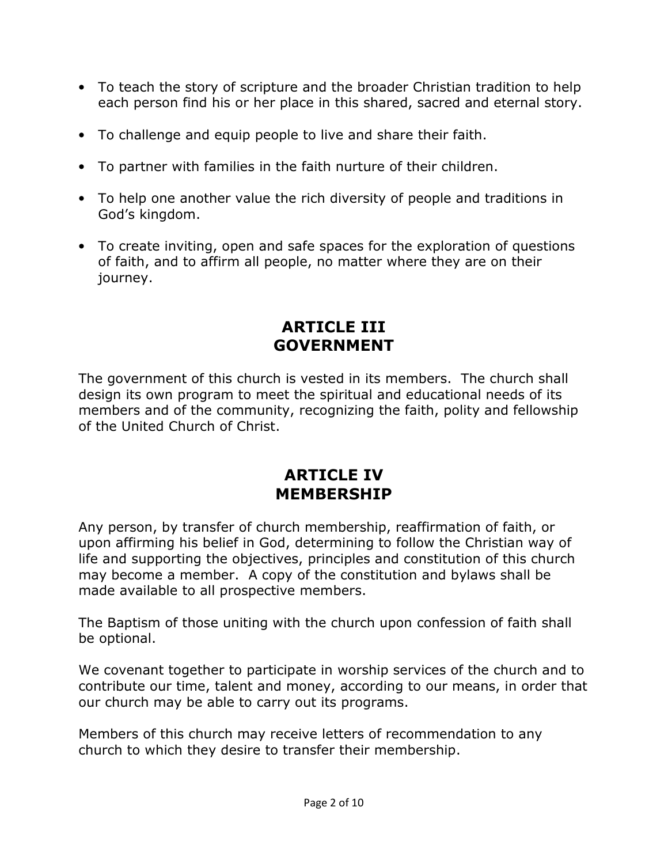- To teach the story of scripture and the broader Christian tradition to help each person find his or her place in this shared, sacred and eternal story.
- To challenge and equip people to live and share their faith.
- To partner with families in the faith nurture of their children.
- To help one another value the rich diversity of people and traditions in God's kingdom.
- To create inviting, open and safe spaces for the exploration of questions of faith, and to affirm all people, no matter where they are on their journey.

### **ARTICLE III GOVERNMENT**

The government of this church is vested in its members. The church shall design its own program to meet the spiritual and educational needs of its members and of the community, recognizing the faith, polity and fellowship of the United Church of Christ.

### **ARTICLE IV MEMBERSHIP**

Any person, by transfer of church membership, reaffirmation of faith, or upon affirming his belief in God, determining to follow the Christian way of life and supporting the objectives, principles and constitution of this church may become a member. A copy of the constitution and bylaws shall be made available to all prospective members.

The Baptism of those uniting with the church upon confession of faith shall be optional.

We covenant together to participate in worship services of the church and to contribute our time, talent and money, according to our means, in order that our church may be able to carry out its programs.

Members of this church may receive letters of recommendation to any church to which they desire to transfer their membership.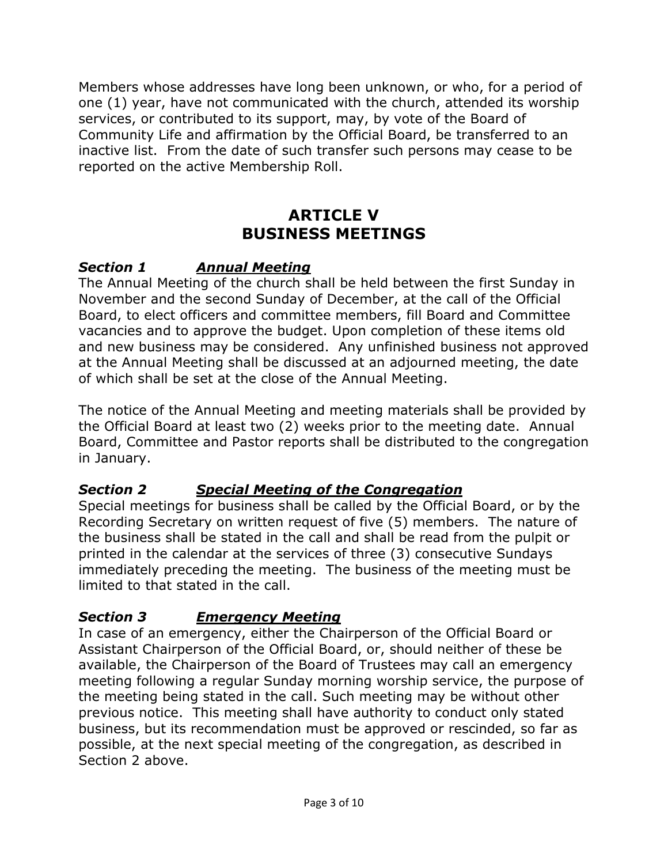Members whose addresses have long been unknown, or who, for a period of one (1) year, have not communicated with the church, attended its worship services, or contributed to its support, may, by vote of the Board of Community Life and affirmation by the Official Board, be transferred to an inactive list. From the date of such transfer such persons may cease to be reported on the active Membership Roll.

## **ARTICLE V BUSINESS MEETINGS**

#### *Section 1 Annual Meeting*

The Annual Meeting of the church shall be held between the first Sunday in November and the second Sunday of December, at the call of the Official Board, to elect officers and committee members, fill Board and Committee vacancies and to approve the budget. Upon completion of these items old and new business may be considered. Any unfinished business not approved at the Annual Meeting shall be discussed at an adjourned meeting, the date of which shall be set at the close of the Annual Meeting.

The notice of the Annual Meeting and meeting materials shall be provided by the Official Board at least two (2) weeks prior to the meeting date. Annual Board, Committee and Pastor reports shall be distributed to the congregation in January.

#### *Section 2 Special Meeting of the Congregation*

Special meetings for business shall be called by the Official Board, or by the Recording Secretary on written request of five (5) members. The nature of the business shall be stated in the call and shall be read from the pulpit or printed in the calendar at the services of three (3) consecutive Sundays immediately preceding the meeting. The business of the meeting must be limited to that stated in the call.

#### *Section 3 Emergency Meeting*

In case of an emergency, either the Chairperson of the Official Board or Assistant Chairperson of the Official Board, or, should neither of these be available, the Chairperson of the Board of Trustees may call an emergency meeting following a regular Sunday morning worship service, the purpose of the meeting being stated in the call. Such meeting may be without other previous notice. This meeting shall have authority to conduct only stated business, but its recommendation must be approved or rescinded, so far as possible, at the next special meeting of the congregation, as described in Section 2 above.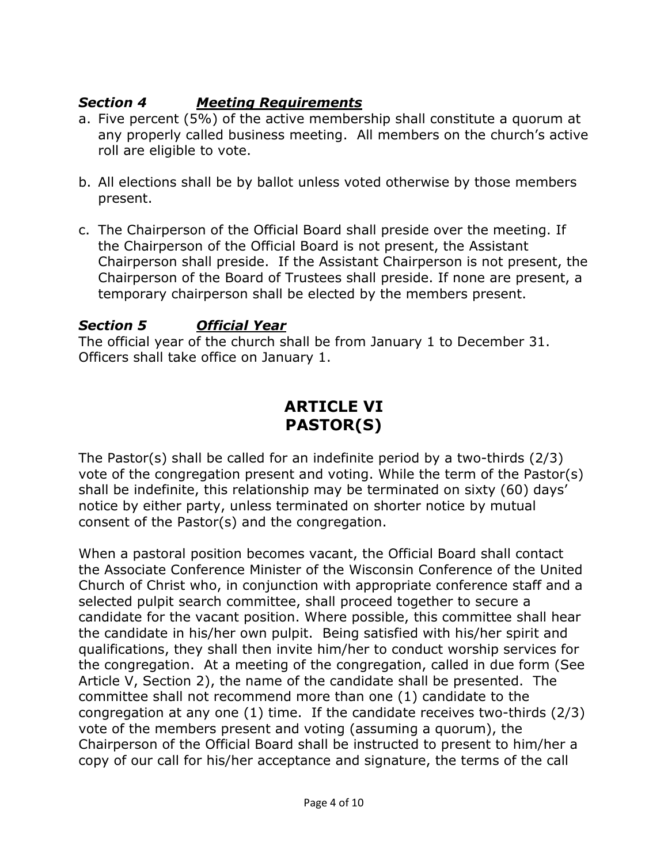#### *Section 4 Meeting Requirements*

- a. Five percent (5%) of the active membership shall constitute a quorum at any properly called business meeting. All members on the church's active roll are eligible to vote.
- b. All elections shall be by ballot unless voted otherwise by those members present.
- c. The Chairperson of the Official Board shall preside over the meeting. If the Chairperson of the Official Board is not present, the Assistant Chairperson shall preside. If the Assistant Chairperson is not present, the Chairperson of the Board of Trustees shall preside. If none are present, a temporary chairperson shall be elected by the members present.

#### *Section 5 Official Year*

The official year of the church shall be from January 1 to December 31. Officers shall take office on January 1.

### **ARTICLE VI PASTOR(S)**

The Pastor(s) shall be called for an indefinite period by a two-thirds (2/3) vote of the congregation present and voting. While the term of the Pastor(s) shall be indefinite, this relationship may be terminated on sixty (60) days' notice by either party, unless terminated on shorter notice by mutual consent of the Pastor(s) and the congregation.

When a pastoral position becomes vacant, the Official Board shall contact the Associate Conference Minister of the Wisconsin Conference of the United Church of Christ who, in conjunction with appropriate conference staff and a selected pulpit search committee, shall proceed together to secure a candidate for the vacant position. Where possible, this committee shall hear the candidate in his/her own pulpit. Being satisfied with his/her spirit and qualifications, they shall then invite him/her to conduct worship services for the congregation. At a meeting of the congregation, called in due form (See Article V, Section 2), the name of the candidate shall be presented. The committee shall not recommend more than one (1) candidate to the congregation at any one (1) time. If the candidate receives two-thirds (2/3) vote of the members present and voting (assuming a quorum), the Chairperson of the Official Board shall be instructed to present to him/her a copy of our call for his/her acceptance and signature, the terms of the call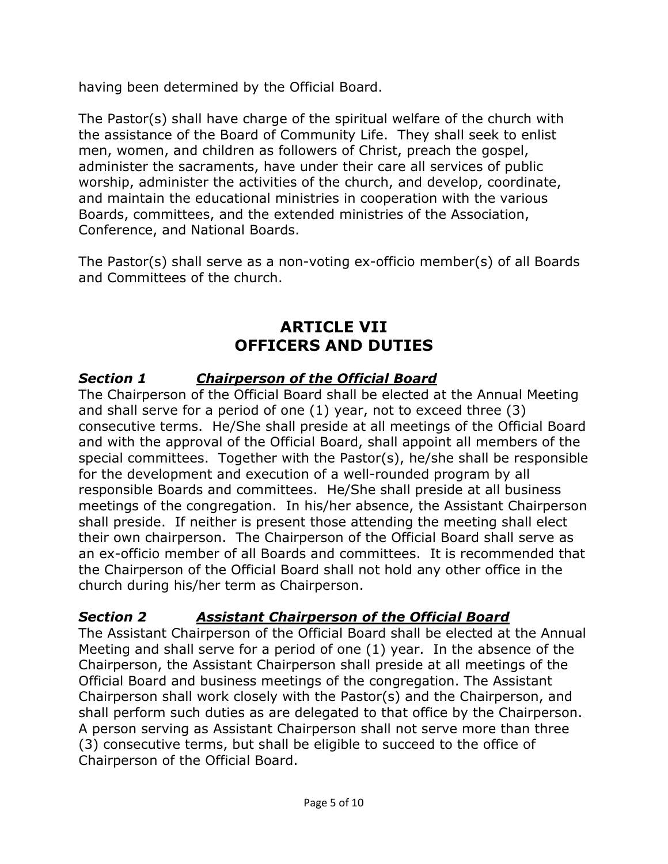having been determined by the Official Board.

The Pastor(s) shall have charge of the spiritual welfare of the church with the assistance of the Board of Community Life. They shall seek to enlist men, women, and children as followers of Christ, preach the gospel, administer the sacraments, have under their care all services of public worship, administer the activities of the church, and develop, coordinate, and maintain the educational ministries in cooperation with the various Boards, committees, and the extended ministries of the Association, Conference, and National Boards.

The Pastor(s) shall serve as a non-voting ex-officio member(s) of all Boards and Committees of the church.

### **ARTICLE VII OFFICERS AND DUTIES**

#### *Section 1 Chairperson of the Official Board*

The Chairperson of the Official Board shall be elected at the Annual Meeting and shall serve for a period of one (1) year, not to exceed three (3) consecutive terms. He/She shall preside at all meetings of the Official Board and with the approval of the Official Board, shall appoint all members of the special committees. Together with the Pastor(s), he/she shall be responsible for the development and execution of a well-rounded program by all responsible Boards and committees. He/She shall preside at all business meetings of the congregation. In his/her absence, the Assistant Chairperson shall preside. If neither is present those attending the meeting shall elect their own chairperson. The Chairperson of the Official Board shall serve as an ex-officio member of all Boards and committees. It is recommended that the Chairperson of the Official Board shall not hold any other office in the church during his/her term as Chairperson.

#### *Section 2 Assistant Chairperson of the Official Board*

The Assistant Chairperson of the Official Board shall be elected at the Annual Meeting and shall serve for a period of one (1) year. In the absence of the Chairperson, the Assistant Chairperson shall preside at all meetings of the Official Board and business meetings of the congregation. The Assistant Chairperson shall work closely with the Pastor(s) and the Chairperson, and shall perform such duties as are delegated to that office by the Chairperson. A person serving as Assistant Chairperson shall not serve more than three (3) consecutive terms, but shall be eligible to succeed to the office of Chairperson of the Official Board.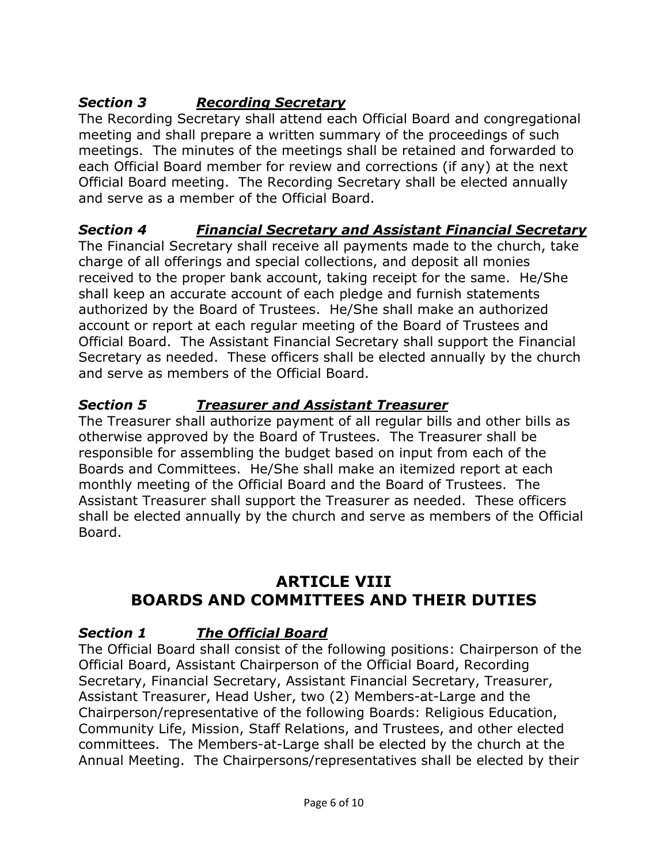### *Section 3 Recording Secretary*

The Recording Secretary shall attend each Official Board and congregational meeting and shall prepare a written summary of the proceedings of such meetings. The minutes of the meetings shall be retained and forwarded to each Official Board member for review and corrections (if any) at the next Official Board meeting. The Recording Secretary shall be elected annually and serve as a member of the Official Board.

### *Section 4 Financial Secretary and Assistant Financial Secretary*

The Financial Secretary shall receive all payments made to the church, take charge of all offerings and special collections, and deposit all monies received to the proper bank account, taking receipt for the same. He/She shall keep an accurate account of each pledge and furnish statements authorized by the Board of Trustees. He/She shall make an authorized account or report at each regular meeting of the Board of Trustees and Official Board. The Assistant Financial Secretary shall support the Financial Secretary as needed. These officers shall be elected annually by the church and serve as members of the Official Board.

#### *Section 5 Treasurer and Assistant Treasurer*

The Treasurer shall authorize payment of all regular bills and other bills as otherwise approved by the Board of Trustees. The Treasurer shall be responsible for assembling the budget based on input from each of the Boards and Committees. He/She shall make an itemized report at each monthly meeting of the Official Board and the Board of Trustees. The Assistant Treasurer shall support the Treasurer as needed. These officers shall be elected annually by the church and serve as members of the Official Board.

## **ARTICLE VIII BOARDS AND COMMITTEES AND THEIR DUTIES**

#### *Section 1 The Official Board*

The Official Board shall consist of the following positions: Chairperson of the Official Board, Assistant Chairperson of the Official Board, Recording Secretary, Financial Secretary, Assistant Financial Secretary, Treasurer, Assistant Treasurer, Head Usher, two (2) Members-at-Large and the Chairperson/representative of the following Boards: Religious Education, Community Life, Mission, Staff Relations, and Trustees, and other elected committees. The Members-at-Large shall be elected by the church at the Annual Meeting. The Chairpersons/representatives shall be elected by their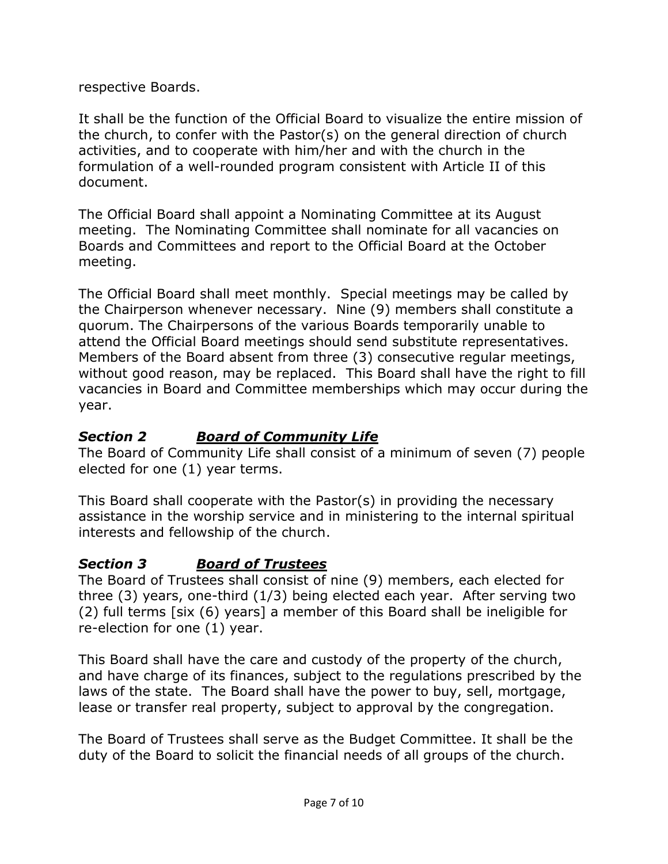respective Boards.

It shall be the function of the Official Board to visualize the entire mission of the church, to confer with the Pastor(s) on the general direction of church activities, and to cooperate with him/her and with the church in the formulation of a well-rounded program consistent with Article II of this document.

The Official Board shall appoint a Nominating Committee at its August meeting. The Nominating Committee shall nominate for all vacancies on Boards and Committees and report to the Official Board at the October meeting.

The Official Board shall meet monthly. Special meetings may be called by the Chairperson whenever necessary. Nine (9) members shall constitute a quorum. The Chairpersons of the various Boards temporarily unable to attend the Official Board meetings should send substitute representatives. Members of the Board absent from three (3) consecutive regular meetings, without good reason, may be replaced. This Board shall have the right to fill vacancies in Board and Committee memberships which may occur during the year.

### *Section 2 Board of Community Life*

The Board of Community Life shall consist of a minimum of seven (7) people elected for one (1) year terms.

This Board shall cooperate with the Pastor(s) in providing the necessary assistance in the worship service and in ministering to the internal spiritual interests and fellowship of the church.

### *Section 3 Board of Trustees*

The Board of Trustees shall consist of nine (9) members, each elected for three (3) years, one-third (1/3) being elected each year. After serving two (2) full terms [six (6) years] a member of this Board shall be ineligible for re-election for one (1) year.

This Board shall have the care and custody of the property of the church, and have charge of its finances, subject to the regulations prescribed by the laws of the state. The Board shall have the power to buy, sell, mortgage, lease or transfer real property, subject to approval by the congregation.

The Board of Trustees shall serve as the Budget Committee. It shall be the duty of the Board to solicit the financial needs of all groups of the church.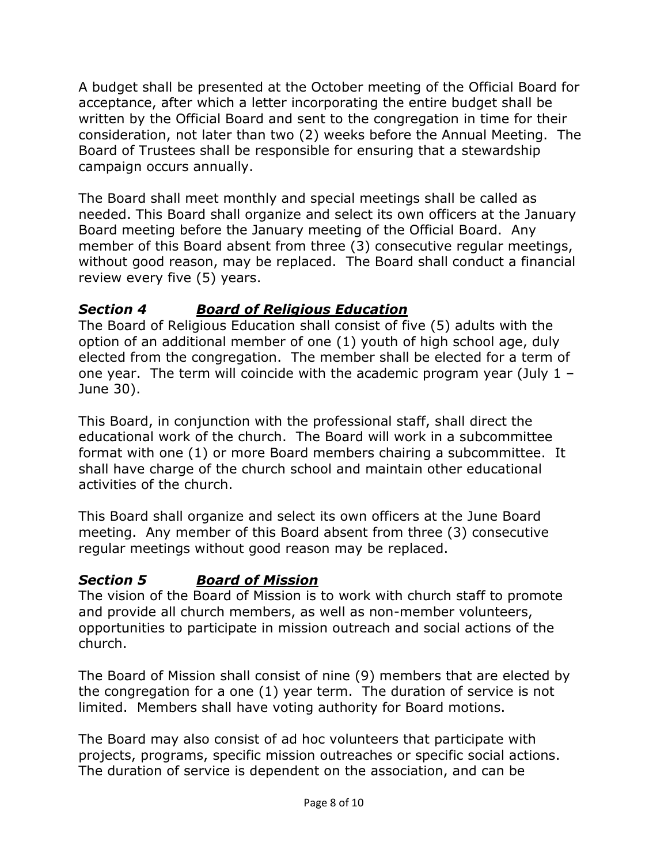A budget shall be presented at the October meeting of the Official Board for acceptance, after which a letter incorporating the entire budget shall be written by the Official Board and sent to the congregation in time for their consideration, not later than two (2) weeks before the Annual Meeting. The Board of Trustees shall be responsible for ensuring that a stewardship campaign occurs annually.

The Board shall meet monthly and special meetings shall be called as needed. This Board shall organize and select its own officers at the January Board meeting before the January meeting of the Official Board. Any member of this Board absent from three (3) consecutive regular meetings, without good reason, may be replaced. The Board shall conduct a financial review every five (5) years.

#### *Section 4 Board of Religious Education*

The Board of Religious Education shall consist of five (5) adults with the option of an additional member of one (1) youth of high school age, duly elected from the congregation. The member shall be elected for a term of one year. The term will coincide with the academic program year (July 1 – June 30).

This Board, in conjunction with the professional staff, shall direct the educational work of the church. The Board will work in a subcommittee format with one (1) or more Board members chairing a subcommittee. It shall have charge of the church school and maintain other educational activities of the church.

This Board shall organize and select its own officers at the June Board meeting. Any member of this Board absent from three (3) consecutive regular meetings without good reason may be replaced.

#### *Section 5 Board of Mission*

The vision of the Board of Mission is to work with church staff to promote and provide all church members, as well as non-member volunteers, opportunities to participate in mission outreach and social actions of the church.

The Board of Mission shall consist of nine (9) members that are elected by the congregation for a one (1) year term. The duration of service is not limited. Members shall have voting authority for Board motions.

The Board may also consist of ad hoc volunteers that participate with projects, programs, specific mission outreaches or specific social actions. The duration of service is dependent on the association, and can be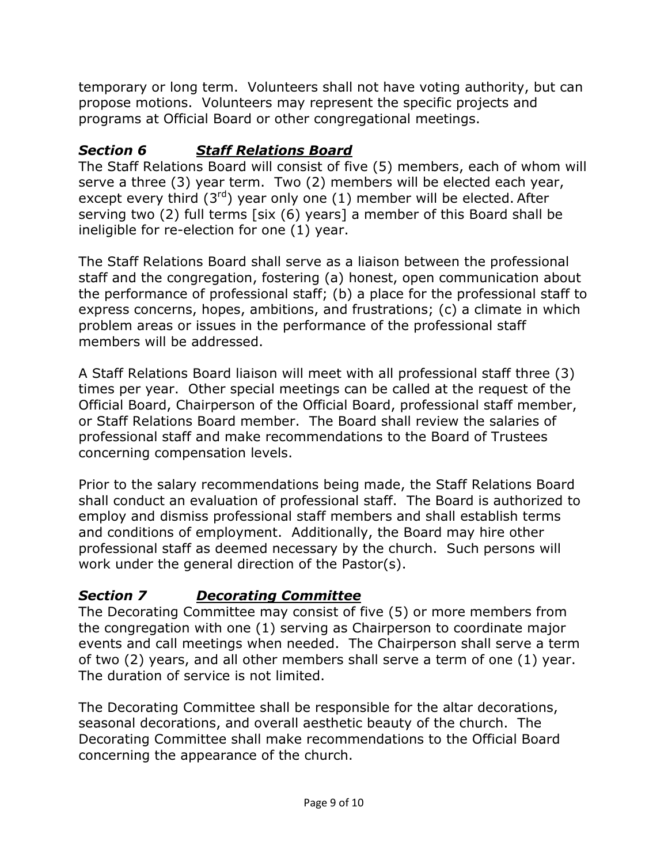temporary or long term. Volunteers shall not have voting authority, but can propose motions. Volunteers may represent the specific projects and programs at Official Board or other congregational meetings.

#### *Section 6 Staff Relations Board*

The Staff Relations Board will consist of five (5) members, each of whom will serve a three (3) year term. Two (2) members will be elected each year, except every third  $(3<sup>rd</sup>)$  year only one  $(1)$  member will be elected. After serving two (2) full terms [six (6) years] a member of this Board shall be ineligible for re-election for one (1) year.

The Staff Relations Board shall serve as a liaison between the professional staff and the congregation, fostering (a) honest, open communication about the performance of professional staff; (b) a place for the professional staff to express concerns, hopes, ambitions, and frustrations; (c) a climate in which problem areas or issues in the performance of the professional staff members will be addressed.

A Staff Relations Board liaison will meet with all professional staff three (3) times per year. Other special meetings can be called at the request of the Official Board, Chairperson of the Official Board, professional staff member, or Staff Relations Board member. The Board shall review the salaries of professional staff and make recommendations to the Board of Trustees concerning compensation levels.

Prior to the salary recommendations being made, the Staff Relations Board shall conduct an evaluation of professional staff. The Board is authorized to employ and dismiss professional staff members and shall establish terms and conditions of employment. Additionally, the Board may hire other professional staff as deemed necessary by the church. Such persons will work under the general direction of the Pastor(s).

### *Section 7 Decorating Committee*

The Decorating Committee may consist of five (5) or more members from the congregation with one (1) serving as Chairperson to coordinate major events and call meetings when needed. The Chairperson shall serve a term of two (2) years, and all other members shall serve a term of one (1) year. The duration of service is not limited.

The Decorating Committee shall be responsible for the altar decorations, seasonal decorations, and overall aesthetic beauty of the church. The Decorating Committee shall make recommendations to the Official Board concerning the appearance of the church.